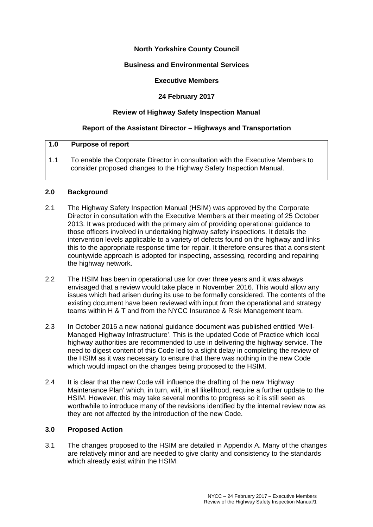### **North Yorkshire County Council**

#### **Business and Environmental Services**

#### **Executive Members**

# **24 February 2017**

## **Review of Highway Safety Inspection Manual**

### **Report of the Assistant Director – Highways and Transportation**

### **1.0 Purpose of report**

1.1 To enable the Corporate Director in consultation with the Executive Members to consider proposed changes to the Highway Safety Inspection Manual.

#### **2.0 Background**

- 2.1 The Highway Safety Inspection Manual (HSIM) was approved by the Corporate Director in consultation with the Executive Members at their meeting of 25 October 2013. It was produced with the primary aim of providing operational guidance to those officers involved in undertaking highway safety inspections. It details the intervention levels applicable to a variety of defects found on the highway and links this to the appropriate response time for repair. It therefore ensures that a consistent countywide approach is adopted for inspecting, assessing, recording and repairing the highway network.
- 2.2 The HSIM has been in operational use for over three years and it was always envisaged that a review would take place in November 2016. This would allow any issues which had arisen during its use to be formally considered. The contents of the existing document have been reviewed with input from the operational and strategy teams within H & T and from the NYCC Insurance & Risk Management team.
- 2.3 In October 2016 a new national guidance document was published entitled 'Well-Managed Highway Infrastructure'. This is the updated Code of Practice which local highway authorities are recommended to use in delivering the highway service. The need to digest content of this Code led to a slight delay in completing the review of the HSIM as it was necessary to ensure that there was nothing in the new Code which would impact on the changes being proposed to the HSIM.
- 2.4 It is clear that the new Code will influence the drafting of the new 'Highway Maintenance Plan' which, in turn, will, in all likelihood, require a further update to the HSIM. However, this may take several months to progress so it is still seen as worthwhile to introduce many of the revisions identified by the internal review now as they are not affected by the introduction of the new Code.

#### **3.0 Proposed Action**

3.1 The changes proposed to the HSIM are detailed in Appendix A. Many of the changes are relatively minor and are needed to give clarity and consistency to the standards which already exist within the HSIM.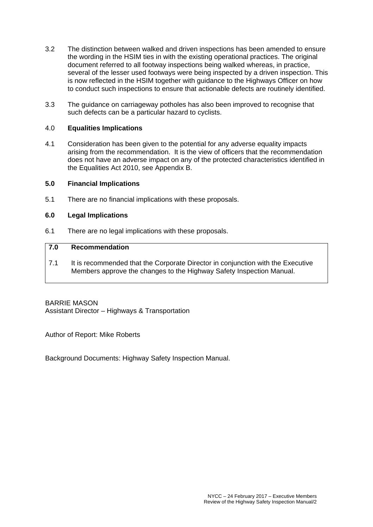- 3.2 The distinction between walked and driven inspections has been amended to ensure the wording in the HSIM ties in with the existing operational practices. The original document referred to all footway inspections being walked whereas, in practice, several of the lesser used footways were being inspected by a driven inspection. This is now reflected in the HSIM together with guidance to the Highways Officer on how to conduct such inspections to ensure that actionable defects are routinely identified.
- 3.3 The guidance on carriageway potholes has also been improved to recognise that such defects can be a particular hazard to cyclists.

#### 4.0 **Equalities Implications**

4.1 Consideration has been given to the potential for any adverse equality impacts arising from the recommendation. It is the view of officers that the recommendation does not have an adverse impact on any of the protected characteristics identified in the Equalities Act 2010, see Appendix B.

#### **5.0 Financial Implications**

5.1 There are no financial implications with these proposals.

#### **6.0 Legal Implications**

6.1 There are no legal implications with these proposals.

### **7.0 Recommendation**

7.1 It is recommended that the Corporate Director in conjunction with the Executive Members approve the changes to the Highway Safety Inspection Manual.

BARRIE MASON Assistant Director – Highways & Transportation

Author of Report: Mike Roberts

Background Documents: Highway Safety Inspection Manual.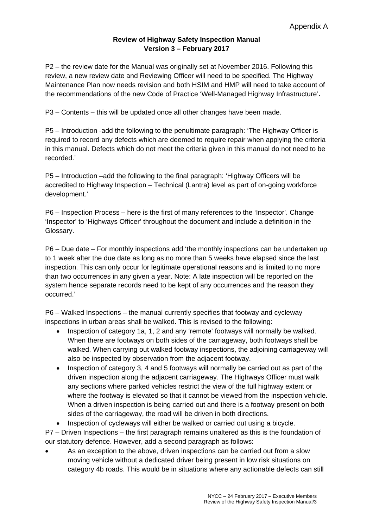# **Review of Highway Safety Inspection Manual Version 3 – February 2017**

P2 – the review date for the Manual was originally set at November 2016. Following this review, a new review date and Reviewing Officer will need to be specified. The Highway Maintenance Plan now needs revision and both HSIM and HMP will need to take account of the recommendations of the new Code of Practice 'Well-Managed Highway Infrastructure'**.** 

P3 – Contents – this will be updated once all other changes have been made.

P5 – Introduction -add the following to the penultimate paragraph: 'The Highway Officer is required to record any defects which are deemed to require repair when applying the criteria in this manual. Defects which do not meet the criteria given in this manual do not need to be recorded.'

P5 – Introduction –add the following to the final paragraph: 'Highway Officers will be accredited to Highway Inspection – Technical (Lantra) level as part of on-going workforce development.'

P6 – Inspection Process – here is the first of many references to the 'Inspector'. Change 'Inspector' to 'Highways Officer' throughout the document and include a definition in the Glossary.

P6 – Due date – For monthly inspections add 'the monthly inspections can be undertaken up to 1 week after the due date as long as no more than 5 weeks have elapsed since the last inspection. This can only occur for legitimate operational reasons and is limited to no more than two occurrences in any given a year. Note: A late inspection will be reported on the system hence separate records need to be kept of any occurrences and the reason they occurred.'

P6 – Walked Inspections – the manual currently specifies that footway and cycleway inspections in urban areas shall be walked. This is revised to the following:

- Inspection of category 1a, 1, 2 and any 'remote' footways will normally be walked. When there are footways on both sides of the carriageway, both footways shall be walked. When carrying out walked footway inspections, the adjoining carriageway will also be inspected by observation from the adjacent footway.
- Inspection of category 3, 4 and 5 footways will normally be carried out as part of the driven inspection along the adjacent carriageway. The Highways Officer must walk any sections where parked vehicles restrict the view of the full highway extent or where the footway is elevated so that it cannot be viewed from the inspection vehicle. When a driven inspection is being carried out and there is a footway present on both sides of the carriageway, the road will be driven in both directions.
- Inspection of cycleways will either be walked or carried out using a bicycle.

P7 – Driven Inspections – the first paragraph remains unaltered as this is the foundation of our statutory defence. However, add a second paragraph as follows:

 As an exception to the above, driven inspections can be carried out from a slow moving vehicle without a dedicated driver being present in low risk situations on category 4b roads. This would be in situations where any actionable defects can still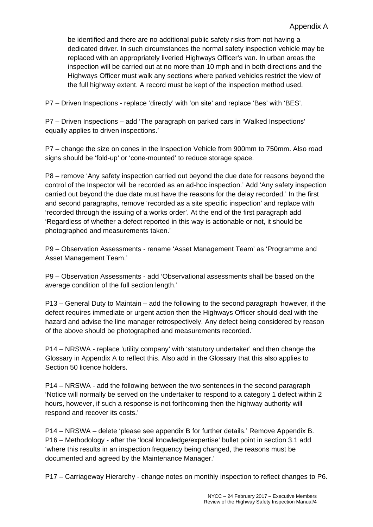be identified and there are no additional public safety risks from not having a dedicated driver. In such circumstances the normal safety inspection vehicle may be replaced with an appropriately liveried Highways Officer's van. In urban areas the inspection will be carried out at no more than 10 mph and in both directions and the Highways Officer must walk any sections where parked vehicles restrict the view of the full highway extent. A record must be kept of the inspection method used.

P7 – Driven Inspections - replace 'directly' with 'on site' and replace 'Bes' with 'BES'.

P7 – Driven Inspections – add 'The paragraph on parked cars in 'Walked Inspections' equally applies to driven inspections.'

P7 – change the size on cones in the Inspection Vehicle from 900mm to 750mm. Also road signs should be 'fold-up' or 'cone-mounted' to reduce storage space.

P8 – remove 'Any safety inspection carried out beyond the due date for reasons beyond the control of the Inspector will be recorded as an ad-hoc inspection.' Add 'Any safety inspection carried out beyond the due date must have the reasons for the delay recorded.' In the first and second paragraphs, remove 'recorded as a site specific inspection' and replace with 'recorded through the issuing of a works order'. At the end of the first paragraph add 'Regardless of whether a defect reported in this way is actionable or not, it should be photographed and measurements taken.'

P9 – Observation Assessments - rename 'Asset Management Team' as 'Programme and Asset Management Team.'

P9 – Observation Assessments - add 'Observational assessments shall be based on the average condition of the full section length.'

P13 – General Duty to Maintain – add the following to the second paragraph 'however, if the defect requires immediate or urgent action then the Highways Officer should deal with the hazard and advise the line manager retrospectively. Any defect being considered by reason of the above should be photographed and measurements recorded.'

P14 – NRSWA - replace 'utility company' with 'statutory undertaker' and then change the Glossary in Appendix A to reflect this. Also add in the Glossary that this also applies to Section 50 licence holders.

P14 – NRSWA - add the following between the two sentences in the second paragraph 'Notice will normally be served on the undertaker to respond to a category 1 defect within 2 hours, however, if such a response is not forthcoming then the highway authority will respond and recover its costs.'

P14 – NRSWA – delete 'please see appendix B for further details.' Remove Appendix B. P16 – Methodology - after the 'local knowledge/expertise' bullet point in section 3.1 add 'where this results in an inspection frequency being changed, the reasons must be documented and agreed by the Maintenance Manager.'

P17 – Carriageway Hierarchy - change notes on monthly inspection to reflect changes to P6.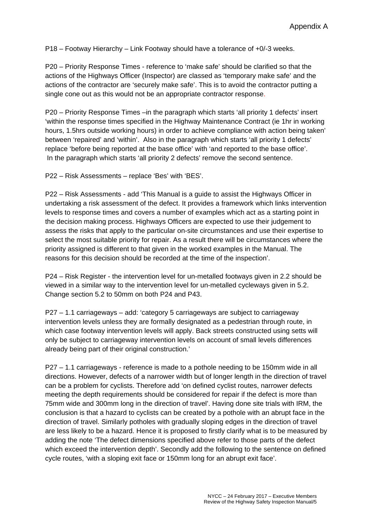P18 – Footway Hierarchy – Link Footway should have a tolerance of +0/-3 weeks.

P20 – Priority Response Times - reference to 'make safe' should be clarified so that the actions of the Highways Officer (Inspector) are classed as 'temporary make safe' and the actions of the contractor are 'securely make safe'. This is to avoid the contractor putting a single cone out as this would not be an appropriate contractor response.

P20 – Priority Response Times –in the paragraph which starts 'all priority 1 defects' insert 'within the response times specified in the Highway Maintenance Contract (ie 1hr in working hours, 1.5hrs outside working hours) in order to achieve compliance with action being taken' between 'repaired' and 'within'. Also in the paragraph which starts 'all priority 1 defects' replace 'before being reported at the base office' with 'and reported to the base office'. In the paragraph which starts 'all priority 2 defects' remove the second sentence.

P22 – Risk Assessments – replace 'Bes' with 'BES'.

P22 – Risk Assessments - add 'This Manual is a guide to assist the Highways Officer in undertaking a risk assessment of the defect. It provides a framework which links intervention levels to response times and covers a number of examples which act as a starting point in the decision making process. Highways Officers are expected to use their judgement to assess the risks that apply to the particular on-site circumstances and use their expertise to select the most suitable priority for repair. As a result there will be circumstances where the priority assigned is different to that given in the worked examples in the Manual. The reasons for this decision should be recorded at the time of the inspection'.

P24 – Risk Register - the intervention level for un-metalled footways given in 2.2 should be viewed in a similar way to the intervention level for un-metalled cycleways given in 5.2. Change section 5.2 to 50mm on both P24 and P43.

P27 – 1.1 carriageways – add: 'category 5 carriageways are subject to carriageway intervention levels unless they are formally designated as a pedestrian through route, in which case footway intervention levels will apply. Back streets constructed using setts will only be subject to carriageway intervention levels on account of small levels differences already being part of their original construction.'

P27 – 1.1 carriageways - reference is made to a pothole needing to be 150mm wide in all directions. However, defects of a narrower width but of longer length in the direction of travel can be a problem for cyclists. Therefore add 'on defined cyclist routes, narrower defects meeting the depth requirements should be considered for repair if the defect is more than 75mm wide and 300mm long in the direction of travel'. Having done site trials with IRM, the conclusion is that a hazard to cyclists can be created by a pothole with an abrupt face in the direction of travel. Similarly potholes with gradually sloping edges in the direction of travel are less likely to be a hazard. Hence it is proposed to firstly clarify what is to be measured by adding the note 'The defect dimensions specified above refer to those parts of the defect which exceed the intervention depth'. Secondly add the following to the sentence on defined cycle routes, 'with a sloping exit face or 150mm long for an abrupt exit face'.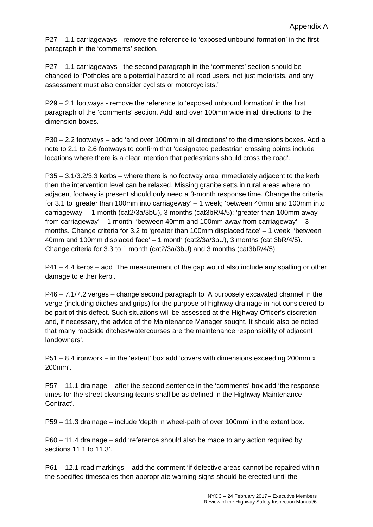P27 – 1.1 carriageways - remove the reference to 'exposed unbound formation' in the first paragraph in the 'comments' section.

P27 – 1.1 carriageways - the second paragraph in the 'comments' section should be changed to 'Potholes are a potential hazard to all road users, not just motorists, and any assessment must also consider cyclists or motorcyclists.'

P29 – 2.1 footways - remove the reference to 'exposed unbound formation' in the first paragraph of the 'comments' section. Add 'and over 100mm wide in all directions' to the dimension boxes.

P30 – 2.2 footways – add 'and over 100mm in all directions' to the dimensions boxes. Add a note to 2.1 to 2.6 footways to confirm that 'designated pedestrian crossing points include locations where there is a clear intention that pedestrians should cross the road'.

P35 – 3.1/3.2/3.3 kerbs – where there is no footway area immediately adjacent to the kerb then the intervention level can be relaxed. Missing granite setts in rural areas where no adjacent footway is present should only need a 3-month response time. Change the criteria for 3.1 to 'greater than 100mm into carriageway' – 1 week; 'between 40mm and 100mm into carriageway' – 1 month (cat2/3a/3bU), 3 months (cat3bR/4/5); 'greater than 100mm away from carriageway'  $-1$  month; 'between 40mm and 100mm away from carriageway'  $-3$ months. Change criteria for 3.2 to 'greater than 100mm displaced face' – 1 week; 'between 40mm and 100mm displaced face' – 1 month (cat2/3a/3bU), 3 months (cat 3bR/4/5). Change criteria for 3.3 to 1 month (cat2/3a/3bU) and 3 months (cat3bR/4/5).

P41 – 4.4 kerbs – add 'The measurement of the gap would also include any spalling or other damage to either kerb'*.* 

P46 – 7.1/7.2 verges – change second paragraph to 'A purposely excavated channel in the verge (including ditches and grips) for the purpose of highway drainage in not considered to be part of this defect. Such situations will be assessed at the Highway Officer's discretion and, if necessary, the advice of the Maintenance Manager sought. It should also be noted that many roadside ditches/watercourses are the maintenance responsibility of adjacent landowners'.

P51 – 8.4 ironwork – in the 'extent' box add 'covers with dimensions exceeding 200mm x 200mm'.

P57 – 11.1 drainage – after the second sentence in the 'comments' box add 'the response times for the street cleansing teams shall be as defined in the Highway Maintenance Contract'.

P59 – 11.3 drainage – include 'depth in wheel-path of over 100mm' in the extent box.

P60 – 11.4 drainage – add 'reference should also be made to any action required by sections 11.1 to 11.3'.

P61 – 12.1 road markings – add the comment 'if defective areas cannot be repaired within the specified timescales then appropriate warning signs should be erected until the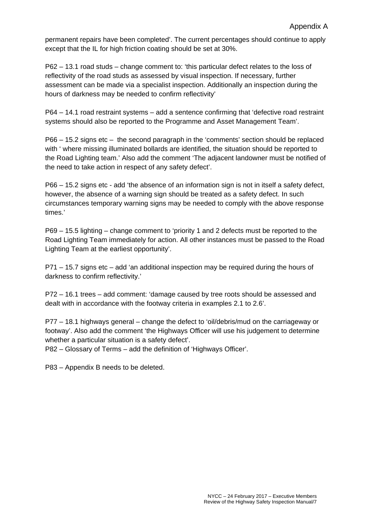permanent repairs have been completed'. The current percentages should continue to apply except that the IL for high friction coating should be set at 30%.

P62 – 13.1 road studs – change comment to: 'this particular defect relates to the loss of reflectivity of the road studs as assessed by visual inspection. If necessary, further assessment can be made via a specialist inspection. Additionally an inspection during the hours of darkness may be needed to confirm reflectivity'

P64 – 14.1 road restraint systems – add a sentence confirming that 'defective road restraint systems should also be reported to the Programme and Asset Management Team'.

P66 – 15.2 signs etc – the second paragraph in the 'comments' section should be replaced with ' where missing illuminated bollards are identified, the situation should be reported to the Road Lighting team.' Also add the comment 'The adjacent landowner must be notified of the need to take action in respect of any safety defect'.

P66 – 15.2 signs etc - add 'the absence of an information sign is not in itself a safety defect, however, the absence of a warning sign should be treated as a safety defect. In such circumstances temporary warning signs may be needed to comply with the above response times.'

P69 – 15.5 lighting – change comment to 'priority 1 and 2 defects must be reported to the Road Lighting Team immediately for action. All other instances must be passed to the Road Lighting Team at the earliest opportunity'.

P71 – 15.7 signs etc – add 'an additional inspection may be required during the hours of darkness to confirm reflectivity.'

P72 – 16.1 trees – add comment: 'damage caused by tree roots should be assessed and dealt with in accordance with the footway criteria in examples 2.1 to 2.6'.

P77 – 18.1 highways general – change the defect to 'oil/debris/mud on the carriageway or footway'. Also add the comment 'the Highways Officer will use his judgement to determine whether a particular situation is a safety defect'.

P82 – Glossary of Terms – add the definition of 'Highways Officer'.

P83 – Appendix B needs to be deleted.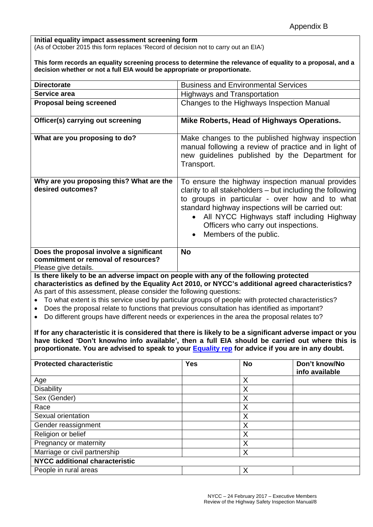#### **Initial equality impact assessment screening form**  (As of October 2015 this form replaces 'Record of decision not to carry out an EIA')

**This form records an equality screening process to determine the relevance of equality to a proposal, and a decision whether or not a full EIA would be appropriate or proportionate.** 

| <b>Directorate</b>                                                                                     | <b>Business and Environmental Services</b>                                                                                                                                                                                                                                                                                                      |  |  |  |  |
|--------------------------------------------------------------------------------------------------------|-------------------------------------------------------------------------------------------------------------------------------------------------------------------------------------------------------------------------------------------------------------------------------------------------------------------------------------------------|--|--|--|--|
| Service area                                                                                           | <b>Highways and Transportation</b>                                                                                                                                                                                                                                                                                                              |  |  |  |  |
| <b>Proposal being screened</b>                                                                         | Changes to the Highways Inspection Manual                                                                                                                                                                                                                                                                                                       |  |  |  |  |
| Officer(s) carrying out screening                                                                      | Mike Roberts, Head of Highways Operations.                                                                                                                                                                                                                                                                                                      |  |  |  |  |
| What are you proposing to do?                                                                          | Make changes to the published highway inspection<br>manual following a review of practice and in light of<br>new guidelines published by the Department for<br>Transport.                                                                                                                                                                       |  |  |  |  |
| Why are you proposing this? What are the<br>desired outcomes?                                          | To ensure the highway inspection manual provides<br>clarity to all stakeholders – but including the following<br>to groups in particular - over how and to what<br>standard highway inspections will be carried out:<br>All NYCC Highways staff including Highway<br>$\bullet$<br>Officers who carry out inspections.<br>Members of the public. |  |  |  |  |
| Does the proposal involve a significant<br>commitment or removal of resources?<br>Please give details. | <b>No</b>                                                                                                                                                                                                                                                                                                                                       |  |  |  |  |

**Is there likely to be an adverse impact on people with any of the following protected characteristics as defined by the Equality Act 2010, or NYCC's additional agreed characteristics?**  As part of this assessment, please consider the following questions:

- To what extent is this service used by particular groups of people with protected characteristics?
- Does the proposal relate to functions that previous consultation has identified as important?
- Do different groups have different needs or experiences in the area the proposal relates to?

**If for any characteristic it is considered that there is likely to be a significant adverse impact or you have ticked 'Don't know/no info available', then a full EIA should be carried out where this is proportionate. You are advised to speak to your Equality rep for advice if you are in any doubt.** 

| <b>Protected characteristic</b>       | <b>Yes</b> | <b>No</b> | Don't know/No<br>info available |
|---------------------------------------|------------|-----------|---------------------------------|
| Age                                   |            | X         |                                 |
| <b>Disability</b>                     |            | X         |                                 |
| Sex (Gender)                          |            | X         |                                 |
| Race                                  |            | Χ         |                                 |
| Sexual orientation                    |            | Χ         |                                 |
| Gender reassignment                   |            | X         |                                 |
| Religion or belief                    |            | X         |                                 |
| Pregnancy or maternity                |            | Χ         |                                 |
| Marriage or civil partnership         |            | X         |                                 |
| <b>NYCC additional characteristic</b> |            |           |                                 |
| People in rural areas                 |            | Χ         |                                 |